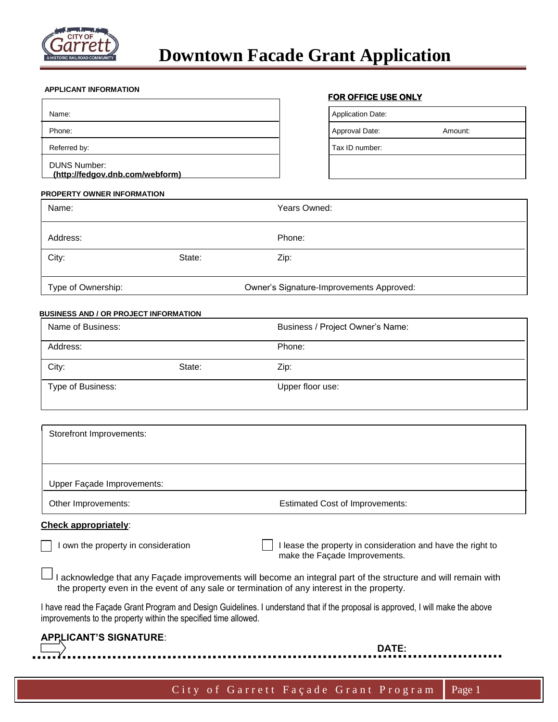

#### **APPLICANT INFORMATION**

|                                                        | ו טוז טרדוטב טטב טוזבו   |         |
|--------------------------------------------------------|--------------------------|---------|
| Name:                                                  | <b>Application Date:</b> |         |
| Phone:                                                 | Approval Date:           | Amount: |
| Referred by:                                           | Tax ID number:           |         |
| <b>DUNS Number:</b><br>(http://fedgov.dnb.com/webform) |                          |         |

#### **FOR OFFICE USE ONLY**

| plication Date: |         |
|-----------------|---------|
| proval Date:    | Amount: |
| x ID number:    |         |

#### **PROPERTY OWNER INFORMATION**

| Name:              |        | Years Owned:                             |  |
|--------------------|--------|------------------------------------------|--|
| Address:           |        | Phone:                                   |  |
| City:              | State: | Zip:                                     |  |
| Type of Ownership: |        | Owner's Signature-Improvements Approved: |  |

#### **BUSINESS AND / OR PROJECT INFORMATION**

| Name of Business: |        | Business / Project Owner's Name: |
|-------------------|--------|----------------------------------|
| Address:          |        | Phone:                           |
| City:             | State: | Zip:                             |
| Type of Business: |        | Upper floor use:                 |

| Storefront Improvements:   |                                        |
|----------------------------|----------------------------------------|
|                            |                                        |
| Upper Façade Improvements: |                                        |
| Other Improvements:        | <b>Estimated Cost of Improvements:</b> |

### **Check appropriately**:

I own the property in consideration I lease the property in consideration and have the right to make the Façade Improvements.

I acknowledge that any Façade improvements will become an integral part of the structure and will remain with the property even in the event of any sale or termination of any interest in the property.

I have read the Façade Grant Program and Design Guidelines. I understand that if the proposal is approved, I will make the above improvements to the property within the specified time allowed.

| <b>APPLICANT'S SIGNATURE:</b> | DATE:                                         |  |
|-------------------------------|-----------------------------------------------|--|
|                               | City of Garrett Façade Grant Program   Page 1 |  |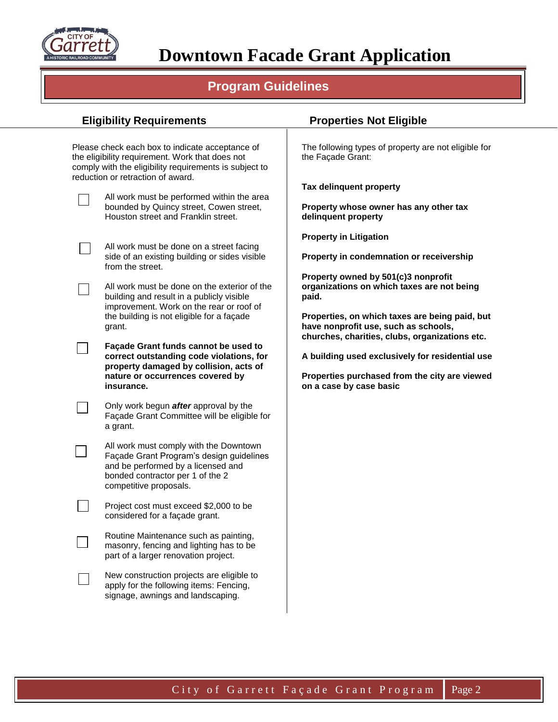

# **Downtown Facade Grant Application**

## **Program Guidelines**

|                                                                                                                                      | <b>Eligibility Requirements</b>                                                                                                                                                                   | <b>Properties Not Eligible</b>                                                                                                           |
|--------------------------------------------------------------------------------------------------------------------------------------|---------------------------------------------------------------------------------------------------------------------------------------------------------------------------------------------------|------------------------------------------------------------------------------------------------------------------------------------------|
|                                                                                                                                      | Please check each box to indicate acceptance of<br>the eligibility requirement. Work that does not<br>comply with the eligibility requirements is subject to<br>reduction or retraction of award. | The following types of property are not eligible for<br>the Façade Grant:                                                                |
|                                                                                                                                      | All work must be performed within the area<br>bounded by Quincy street, Cowen street,<br>Houston street and Franklin street.                                                                      | Tax delinquent property<br>Property whose owner has any other tax<br>delinquent property                                                 |
|                                                                                                                                      | All work must be done on a street facing<br>side of an existing building or sides visible<br>from the street.                                                                                     | <b>Property in Litigation</b><br>Property in condemnation or receivership                                                                |
|                                                                                                                                      | All work must be done on the exterior of the<br>building and result in a publicly visible<br>improvement. Work on the rear or roof of                                                             | Property owned by 501(c)3 nonprofit<br>organizations on which taxes are not being<br>paid.                                               |
|                                                                                                                                      | the building is not eligible for a façade<br>grant.<br>Façade Grant funds cannot be used to                                                                                                       | Properties, on which taxes are being paid, but<br>have nonprofit use, such as schools,<br>churches, charities, clubs, organizations etc. |
| correct outstanding code violations, for<br>property damaged by collision, acts of<br>nature or occurrences covered by<br>insurance. | A building used exclusively for residential use<br>Properties purchased from the city are viewed<br>on a case by case basic                                                                       |                                                                                                                                          |
|                                                                                                                                      | Only work begun <i>after</i> approval by the<br>Façade Grant Committee will be eligible for<br>a grant.                                                                                           |                                                                                                                                          |
|                                                                                                                                      | All work must comply with the Downtown<br>Façade Grant Program's design guidelines<br>and be performed by a licensed and<br>bonded contractor per 1 of the 2<br>competitive proposals.            |                                                                                                                                          |
|                                                                                                                                      | Project cost must exceed \$2,000 to be<br>considered for a façade grant.                                                                                                                          |                                                                                                                                          |
|                                                                                                                                      | Routine Maintenance such as painting,<br>masonry, fencing and lighting has to be<br>part of a larger renovation project.                                                                          |                                                                                                                                          |
|                                                                                                                                      | New construction projects are eligible to<br>apply for the following items: Fencing,<br>signage, awnings and landscaping.                                                                         |                                                                                                                                          |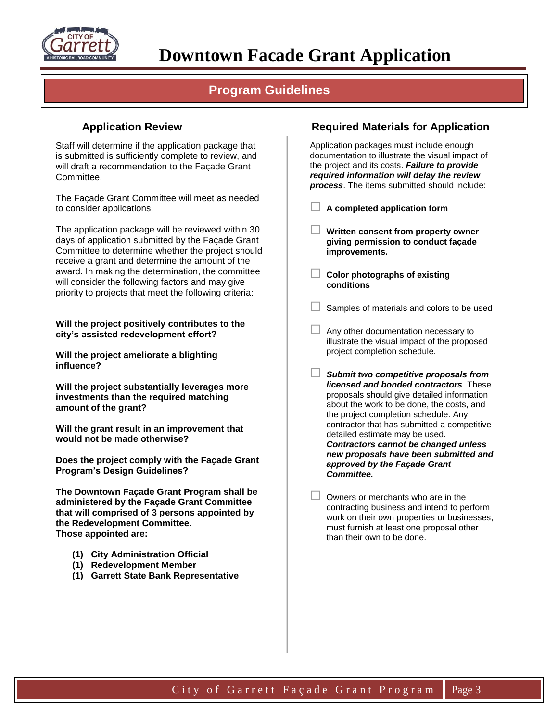

## **Program Guidelines**

Staff will determine if the application package that is submitted is sufficiently complete to review, and will draft a recommendation to the Façade Grant Committee.

The Façade Grant Committee will meet as needed to consider applications.

The application package will be reviewed within 30 days of application submitted by the Façade Grant Committee to determine whether the project should receive a grant and determine the amount of the award. In making the determination, the committee will consider the following factors and may give priority to projects that meet the following criteria:

**Will the project positively contributes to the city's assisted redevelopment effort?**

**Will the project ameliorate a blighting influence?**

**Will the project substantially leverages more investments than the required matching amount of the grant?**

**Will the grant result in an improvement that would not be made otherwise?**

**Does the project comply with the Façade Grant Program's Design Guidelines?**

**The Downtown Façade Grant Program shall be administered by the Façade Grant Committee that will comprised of 3 persons appointed by the Redevelopment Committee. Those appointed are:**

- **(1) City Administration Official**
- **(1) Redevelopment Member**
- **(1) Garrett State Bank Representative**

## **Application Review Required Materials for Application**

Application packages must include enough documentation to illustrate the visual impact of the project and its costs. *Failure to provide required information will delay the review process*. The items submitted should include:

**A completed application form**

 **Written consent from property owner giving permission to conduct façade improvements.** 

 **Color photographs of existing conditions**

Samples of materials and colors to be used

 Any other documentation necessary to illustrate the visual impact of the proposed project completion schedule.

- *Submit two competitive proposals from licensed and bonded contractors*. These proposals should give detailed information about the work to be done, the costs, and the project completion schedule. Any contractor that has submitted a competitive detailed estimate may be used. *Contractors cannot be changed unless new proposals have been submitted and approved by the Façade Grant Committee.*
- $\Box$  Owners or merchants who are in the contracting business and intend to perform work on their own properties or businesses, must furnish at least one proposal other than their own to be done.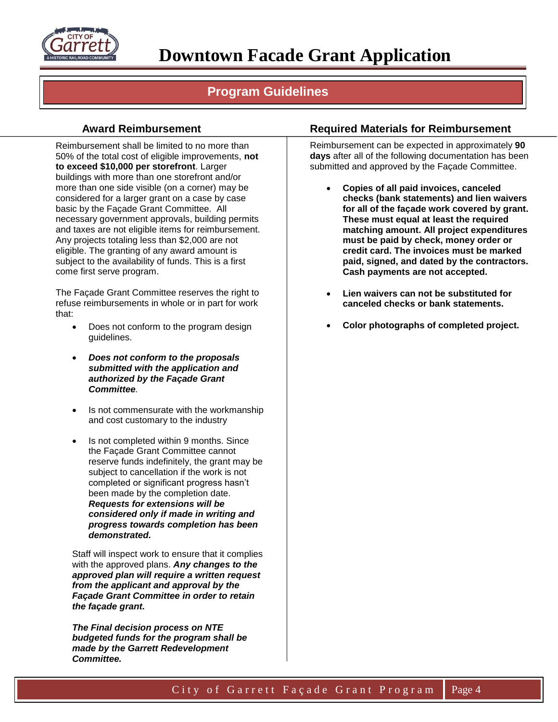

## **Program Guidelines**

## **Award Reimbursement**

Reimbursement shall be limited to no more than 50% of the total cost of eligible improvements, **not to exceed \$10,000 per storefront**. Larger buildings with more than one storefront and/or more than one side visible (on a corner) may be considered for a larger grant on a case by case basic by the Façade Grant Committee. All necessary government approvals, building permits and taxes are not eligible items for reimbursement. Any projects totaling less than \$2,000 are not eligible. The granting of any award amount is subject to the availability of funds. This is a first come first serve program.

The Façade Grant Committee reserves the right to refuse reimbursements in whole or in part for work that:

- Does not conform to the program design guidelines.
- *Does not conform to the proposals submitted with the application and authorized by the Façade Grant Committee.*
- Is not commensurate with the workmanship and cost customary to the industry
- Is not completed within 9 months. Since the Façade Grant Committee cannot reserve funds indefinitely, the grant may be subject to cancellation if the work is not completed or significant progress hasn't been made by the completion date. *Requests for extensions will be considered only if made in writing and progress towards completion has been demonstrated.*

Staff will inspect work to ensure that it complies with the approved plans. *Any changes to the approved plan will require a written request from the applicant and approval by the Façade Grant Committee in order to retain the façade grant.*

*The Final decision process on NTE budgeted funds for the program shall be made by the Garrett Redevelopment Committee.*

## **Required Materials for Reimbursement**

Reimbursement can be expected in approximately **90 days** after all of the following documentation has been submitted and approved by the Façade Committee.

- **Copies of all paid invoices, canceled checks (bank statements) and lien waivers for all of the façade work covered by grant. These must equal at least the required matching amount. All project expenditures must be paid by check, money order or credit card. The invoices must be marked paid, signed, and dated by the contractors. Cash payments are not accepted.**
- **Lien waivers can not be substituted for canceled checks or bank statements.**
- **Color photographs of completed project.**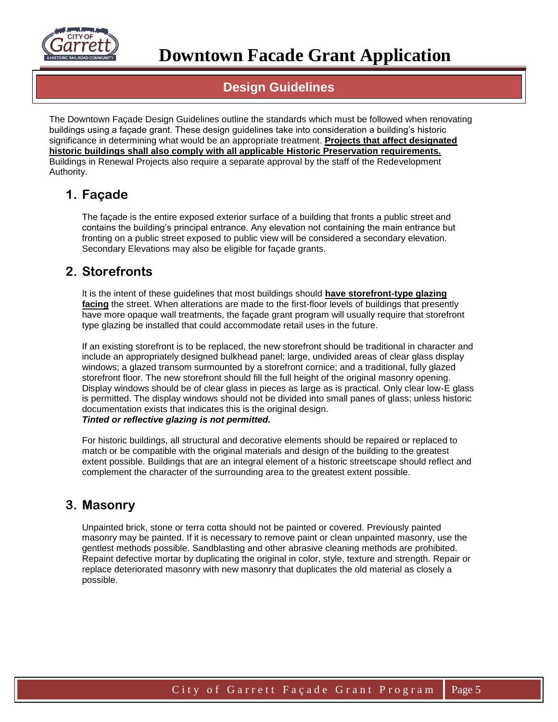

## **Design Guidelines**

The Downtown Façade Design Guidelines outline the standards which must be followed when renovating buildings using a façade grant. These design guidelines take into consideration a building's historic significance in determining what would be an appropriate treatment. **Projects that affect designated historic buildings shall also comply with all applicable Historic Preservation requirements.**  Buildings in Renewal Projects also require a separate approval by the staff of the Redevelopment Authority.

## **1. Façade**

The façade is the entire exposed exterior surface of a building that fronts a public street and contains the building's principal entrance. Any elevation not containing the main entrance but fronting on a public street exposed to public view will be considered a secondary elevation. Secondary Elevations may also be eligible for façade grants.

## **2. Storefronts**

It is the intent of these guidelines that most buildings should **have storefront-type glazing facing** the street. When alterations are made to the first-floor levels of buildings that presently have more opaque wall treatments, the façade grant program will usually require that storefront type glazing be installed that could accommodate retail uses in the future.

If an existing storefront is to be replaced, the new storefront should be traditional in character and include an appropriately designed bulkhead panel; large, undivided areas of clear glass display windows; a glazed transom surmounted by a storefront cornice; and a traditional, fully glazed storefront floor. The new storefront should fill the full height of the original masonry opening. Display windows should be of clear glass in pieces as large as is practical. Only clear low-E glass is permitted. The display windows should not be divided into small panes of glass; unless historic documentation exists that indicates this is the original design. *Tinted or reflective glazing is not permitted.*

For historic buildings, all structural and decorative elements should be repaired or replaced to match or be compatible with the original materials and design of the building to the greatest extent possible. Buildings that are an integral element of a historic streetscape should reflect and complement the character of the surrounding area to the greatest extent possible.

## **3. Masonry**

Unpainted brick, stone or terra cotta should not be painted or covered. Previously painted masonry may be painted. If it is necessary to remove paint or clean unpainted masonry, use the gentlest methods possible. Sandblasting and other abrasive cleaning methods are prohibited. Repaint defective mortar by duplicating the original in color, style, texture and strength. Repair or replace deteriorated masonry with new masonry that duplicates the old material as closely a possible.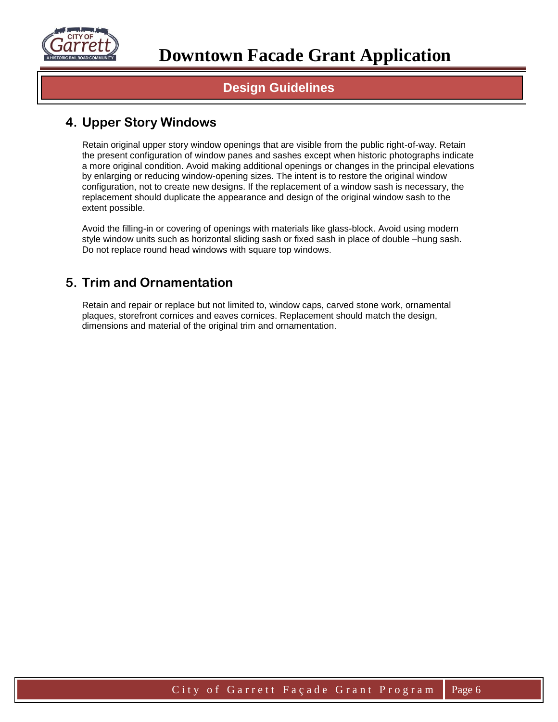

## **Design Guidelines**

## **4. Upper Story Windows**

Retain original upper story window openings that are visible from the public right-of-way. Retain the present configuration of window panes and sashes except when historic photographs indicate a more original condition. Avoid making additional openings or changes in the principal elevations by enlarging or reducing window-opening sizes. The intent is to restore the original window configuration, not to create new designs. If the replacement of a window sash is necessary, the replacement should duplicate the appearance and design of the original window sash to the extent possible.

Avoid the filling-in or covering of openings with materials like glass-block. Avoid using modern style window units such as horizontal sliding sash or fixed sash in place of double –hung sash. Do not replace round head windows with square top windows.

## **5. Trim and Ornamentation**

Retain and repair or replace but not limited to, window caps, carved stone work, ornamental plaques, storefront cornices and eaves cornices. Replacement should match the design, dimensions and material of the original trim and ornamentation.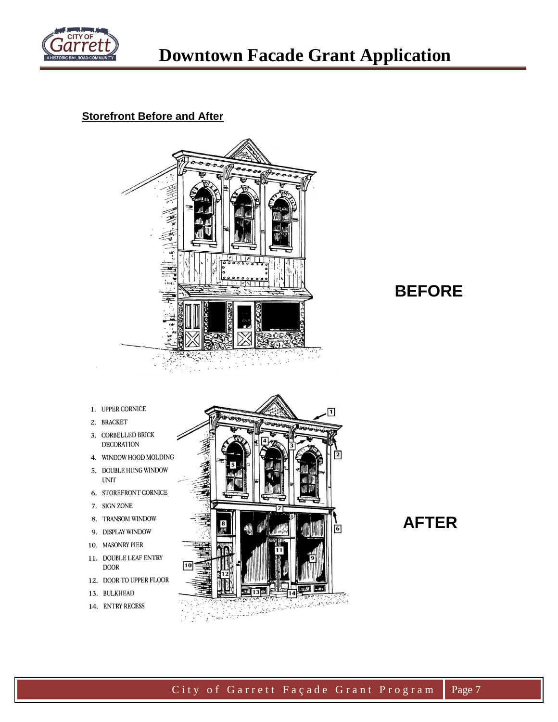

## **Storefront Before and After**



## **BEFORE**

- 1. UPPER CORNICE
- 2. BRACKET
- 3. CORBELLED BRICK **DECORATION**
- 4. WINDOW HOOD MOLDING
- 5. DOUBLE HUNG WINDOW
- 6. STOREFRONT CORNICE
- 7. SIGN ZONE

**UNIT** 

- 8. TRANSOM WINDOW
- 9. DISPLAY WINDOW
- 10. MASONRY PIER
- 11. DOUBLE LEAF ENTRY **DOOR**
- 12. DOOR TO UPPER FLOOR
- 13. BULKHEAD
- 14. ENTRY RECESS



## **AFTER**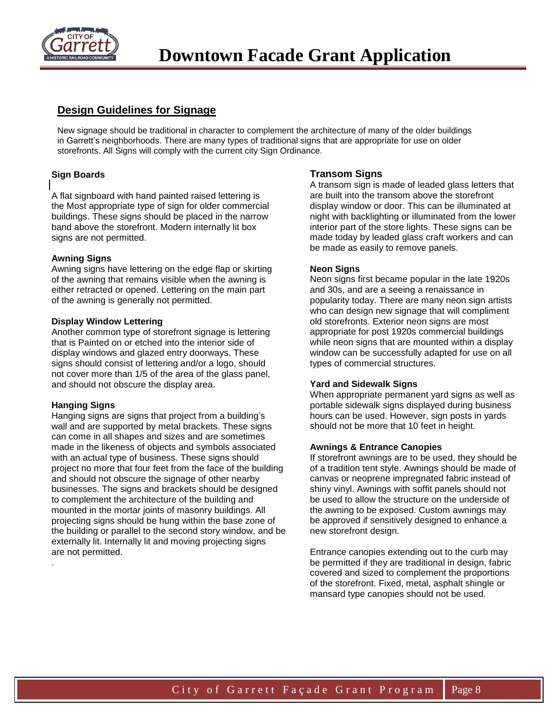

## **Design Guidelines for Signage**

New signage should be traditional in character to complement the architecture of many of the older buildings in Garrett's neighborhoods. There are many types of traditional signs that are appropriate for use on older storefronts. All Signs will comply with the current city Sign Ordinance.

#### **Sign Boards**

A flat signboard with hand painted raised lettering is the Most appropriate type of sign for older commercial buildings. These signs should be placed in the narrow band above the storefront. Modern internally lit box signs are not permitted.

#### **Awning Signs**

Awning signs have lettering on the edge flap or skirting of the awning that remains visible when the awning is either retracted or opened. Lettering on the main part of the awning is generally not permitted.

#### **Display Window Lettering**

Another common type of storefront signage is lettering that is Painted on or etched into the interior side of display windows and glazed entry doorways. These signs should consist of lettering and/or a logo, should not cover more than 1/5 of the area of the glass panel, and should not obscure the display area.

#### **Hanging Signs**

.

**DESIGN GUIDE CONSTRUCTED STATES CONSTRUCTS**<br>to complement the architecture of the building and be u Hanging signs are signs that project from a building's wall and are supported by metal brackets. These signs can come in all shapes and sizes and are sometimes made in the likeness of objects and symbols associated with an actual type of business. These signs should project no more that four feet from the face of the building and should not obscure the signage of other nearby businesses. The signs and brackets should be designed mounted in the mortar joints of masonry buildings. All projecting signs should be hung within the base zone of the building or parallel to the second story window, and be externally lit. Internally lit and moving projecting signs are not permitted.

### **Transom Signs**

A transom sign is made of leaded glass letters that are built into the transom above the storefront display window or door. This can be illuminated at night with backlighting or illuminated from the lower interior part of the store lights. These signs can be made today by leaded glass craft workers and can be made as easily to remove panels.

#### **Neon Signs**

Neon signs first became popular in the late 1920s and 30s, and are a seeing a renaissance in popularity today. There are many neon sign artists who can design new signage that will compliment old storefronts. Exterior neon signs are most appropriate for post 1920s commercial buildings while neon signs that are mounted within a display window can be successfully adapted for use on all types of commercial structures.

#### **Yard and Sidewalk Signs**

When appropriate permanent yard signs as well as portable sidewalk signs displayed during business hours can be used. However, sign posts in yards should not be more that 10 feet in height.

#### **Awnings & Entrance Canopies**

If storefront awnings are to be used, they should be of a tradition tent style. Awnings should be made of canvas or neoprene impregnated fabric instead of shiny vinyl. Awnings with soffit panels should not be used to allow the structure on the underside of the awning to be exposed. Custom awnings may be approved if sensitively designed to enhance a new storefront design.

Entrance canopies extending out to the curb may be permitted if they are traditional in design, fabric covered and sized to complement the proportions of the storefront. Fixed, metal, asphalt shingle or mansard type canopies should not be used.